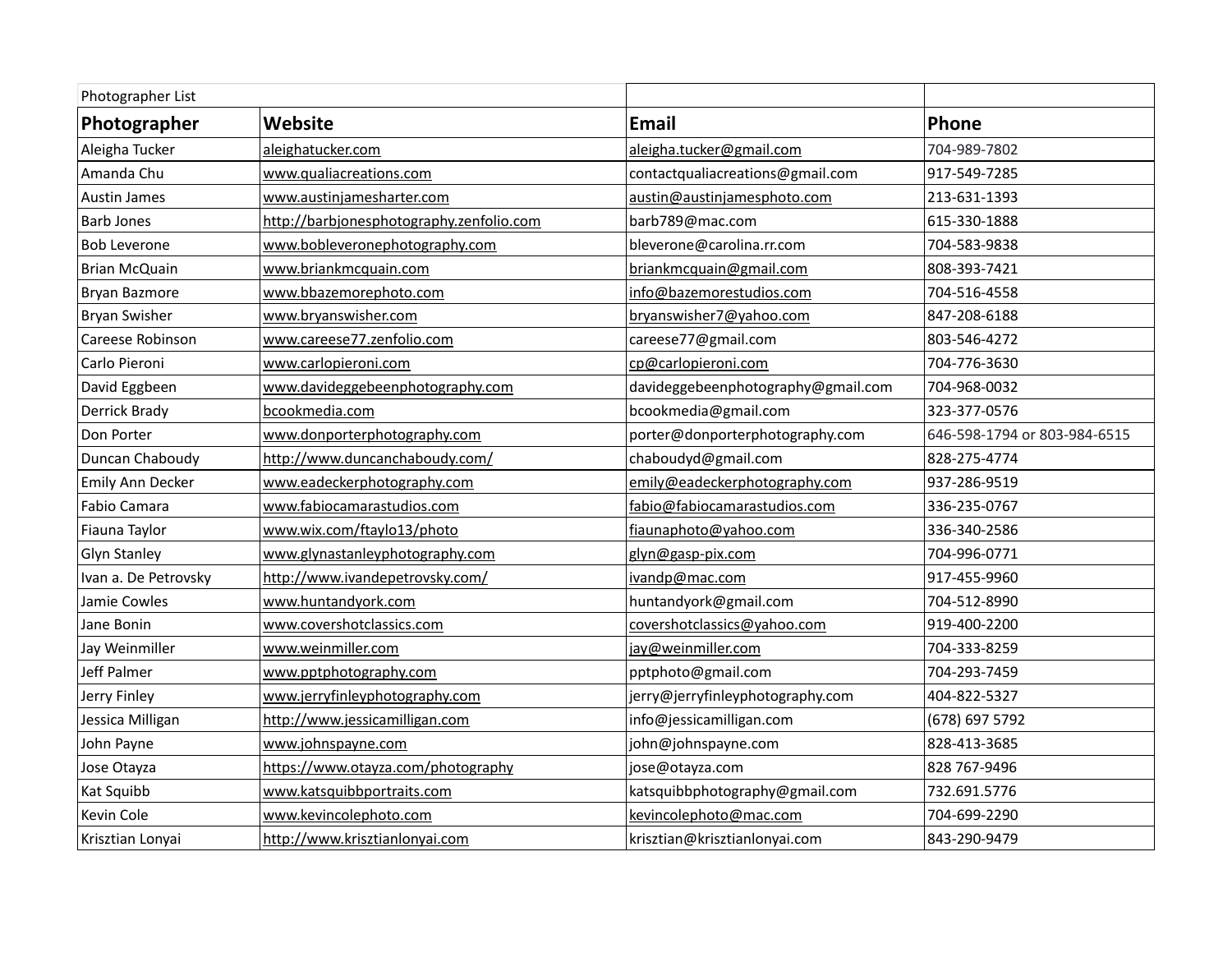| Photographer List    |                                          |                                    |                              |
|----------------------|------------------------------------------|------------------------------------|------------------------------|
| Photographer         | Website                                  | <b>Email</b>                       | Phone                        |
| Aleigha Tucker       | aleighatucker.com                        | aleigha.tucker@gmail.com           | 704-989-7802                 |
| Amanda Chu           | www.qualiacreations.com                  | contactqualiacreations@gmail.com   | 917-549-7285                 |
| <b>Austin James</b>  | www.austinjamesharter.com                | austin@austinjamesphoto.com        | 213-631-1393                 |
| <b>Barb Jones</b>    | http://barbjonesphotography.zenfolio.com | barb789@mac.com                    | 615-330-1888                 |
| <b>Bob Leverone</b>  | www.bobleveronephotography.com           | bleverone@carolina.rr.com          | 704-583-9838                 |
| <b>Brian McQuain</b> | www.briankmcquain.com                    | briankmcquain@gmail.com            | 808-393-7421                 |
| <b>Bryan Bazmore</b> | www.bbazemorephoto.com                   | info@bazemorestudios.com           | 704-516-4558                 |
| <b>Bryan Swisher</b> | www.bryanswisher.com                     | bryanswisher7@yahoo.com            | 847-208-6188                 |
| Careese Robinson     | www.careese77.zenfolio.com               | careese77@gmail.com                | 803-546-4272                 |
| Carlo Pieroni        | www.carlopieroni.com                     | cp@carlopieroni.com                | 704-776-3630                 |
| David Eggbeen        | www.davideggebeenphotography.com         | davideggebeenphotography@gmail.com | 704-968-0032                 |
| Derrick Brady        | bcookmedia.com                           | bcookmedia@gmail.com               | 323-377-0576                 |
| Don Porter           | www.donporterphotography.com             | porter@donporterphotography.com    | 646-598-1794 or 803-984-6515 |
| Duncan Chaboudy      | http://www.duncanchaboudy.com/           | chaboudyd@gmail.com                | 828-275-4774                 |
| Emily Ann Decker     | www.eadeckerphotography.com              | emily@eadeckerphotography.com      | 937-286-9519                 |
| Fabio Camara         | www.fabiocamarastudios.com               | fabio@fabiocamarastudios.com       | 336-235-0767                 |
| Fiauna Taylor        | www.wix.com/ftaylo13/photo               | fiaunaphoto@yahoo.com              | 336-340-2586                 |
| <b>Glyn Stanley</b>  | www.glynastanleyphotography.com          | glyn@gasp-pix.com                  | 704-996-0771                 |
| Ivan a. De Petrovsky | http://www.ivandepetrovsky.com/          | ivandp@mac.com                     | 917-455-9960                 |
| Jamie Cowles         | www.huntandyork.com                      | huntandyork@gmail.com              | 704-512-8990                 |
| Jane Bonin           | www.covershotclassics.com                | covershotclassics@yahoo.com        | 919-400-2200                 |
| Jay Weinmiller       | www.weinmiller.com                       | jay@weinmiller.com                 | 704-333-8259                 |
| Jeff Palmer          | www.pptphotography.com                   | pptphoto@gmail.com                 | 704-293-7459                 |
| Jerry Finley         | www.jerryfinleyphotography.com           | jerry@jerryfinleyphotography.com   | 404-822-5327                 |
| Jessica Milligan     | http://www.jessicamilligan.com           | info@jessicamilligan.com           | (678) 697 5792               |
| John Payne           | www.johnspayne.com                       | john@johnspayne.com                | 828-413-3685                 |
| Jose Otayza          | https://www.otayza.com/photography       | jose@otayza.com                    | 828 767-9496                 |
| Kat Squibb           | www.katsquibbportraits.com               | katsquibbphotography@gmail.com     | 732.691.5776                 |
| Kevin Cole           | www.kevincolephoto.com                   | kevincolephoto@mac.com             | 704-699-2290                 |
| Krisztian Lonyai     | http://www.krisztianlonyai.com           | krisztian@krisztianlonyai.com      | 843-290-9479                 |